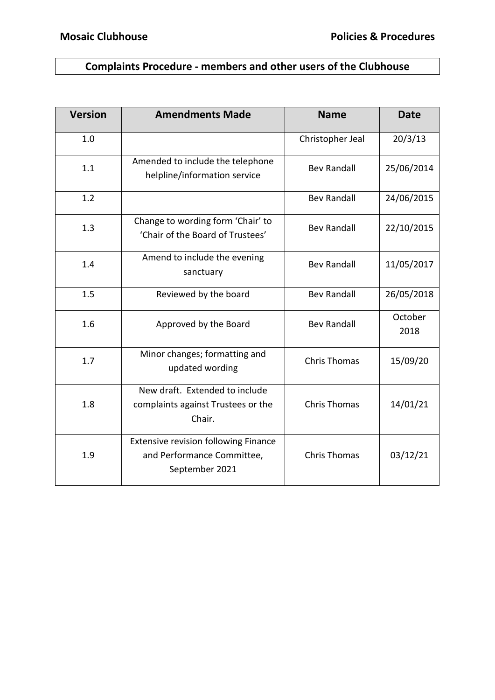# **Complaints Procedure - members and other users of the Clubhouse**

| <b>Version</b> | <b>Amendments Made</b>                                                                      | <b>Name</b>         | <b>Date</b>     |
|----------------|---------------------------------------------------------------------------------------------|---------------------|-----------------|
| 1.0            |                                                                                             | Christopher Jeal    | 20/3/13         |
| 1.1            | Amended to include the telephone<br>helpline/information service                            | <b>Bev Randall</b>  | 25/06/2014      |
| 1.2            |                                                                                             | <b>Bev Randall</b>  | 24/06/2015      |
| 1.3            | Change to wording form 'Chair' to<br>'Chair of the Board of Trustees'                       | <b>Bev Randall</b>  | 22/10/2015      |
| 1.4            | Amend to include the evening<br>sanctuary                                                   | <b>Bev Randall</b>  | 11/05/2017      |
| 1.5            | Reviewed by the board                                                                       | <b>Bev Randall</b>  | 26/05/2018      |
| 1.6            | Approved by the Board                                                                       | <b>Bev Randall</b>  | October<br>2018 |
| 1.7            | Minor changes; formatting and<br>updated wording                                            | <b>Chris Thomas</b> | 15/09/20        |
| 1.8            | New draft. Extended to include<br>complaints against Trustees or the<br>Chair.              | <b>Chris Thomas</b> | 14/01/21        |
| 1.9            | <b>Extensive revision following Finance</b><br>and Performance Committee,<br>September 2021 | <b>Chris Thomas</b> | 03/12/21        |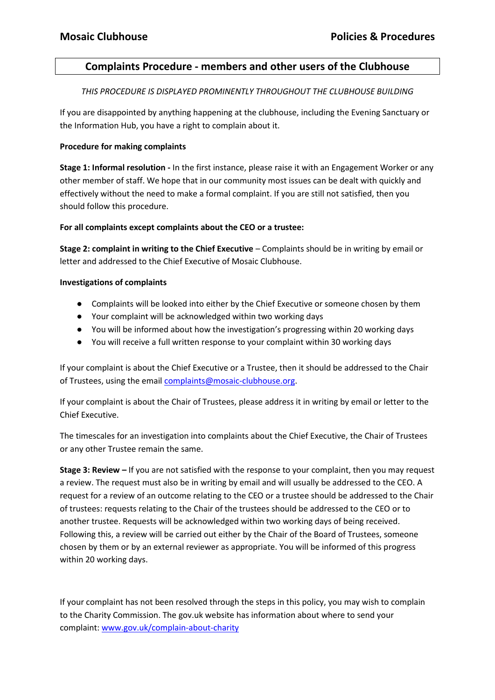### **Complaints Procedure - members and other users of the Clubhouse**

*THIS PROCEDURE IS DISPLAYED PROMINENTLY THROUGHOUT THE CLUBHOUSE BUILDING*

If you are disappointed by anything happening at the clubhouse, including the Evening Sanctuary or the Information Hub, you have a right to complain about it.

#### **Procedure for making complaints**

**Stage 1: Informal resolution -** In the first instance, please raise it with an Engagement Worker or any other member of staff. We hope that in our community most issues can be dealt with quickly and effectively without the need to make a formal complaint. If you are still not satisfied, then you should follow this procedure.

#### **For all complaints except complaints about the CEO or a trustee:**

**Stage 2: complaint in writing to the Chief Executive** – Complaints should be in writing by email or letter and addressed to the Chief Executive of Mosaic Clubhouse.

#### **Investigations of complaints**

- Complaints will be looked into either by the Chief Executive or someone chosen by them
- Your complaint will be acknowledged within two working days
- You will be informed about how the investigation's progressing within 20 working days
- You will receive a full written response to your complaint within 30 working days

If your complaint is about the Chief Executive or a Trustee, then it should be addressed to the Chair of Trustees, using the emai[l complaints@mosaic-clubhouse.org.](mailto:complaints@mosaic-clubhouse.org)

If your complaint is about the Chair of Trustees, please address it in writing by email or letter to the Chief Executive.

The timescales for an investigation into complaints about the Chief Executive, the Chair of Trustees or any other Trustee remain the same.

**Stage 3: Review –** If you are not satisfied with the response to your complaint, then you may request a review. The request must also be in writing by email and will usually be addressed to the CEO. A request for a review of an outcome relating to the CEO or a trustee should be addressed to the Chair of trustees: requests relating to the Chair of the trustees should be addressed to the CEO or to another trustee. Requests will be acknowledged within two working days of being received. Following this, a review will be carried out either by the Chair of the Board of Trustees, someone chosen by them or by an external reviewer as appropriate. You will be informed of this progress within 20 working days.

If your complaint has not been resolved through the steps in this policy, you may wish to complain to the Charity Commission. The gov.uk website has information about where to send your complaint: [www.gov.uk/complain-about-charity](http://www.gov.uk/complain-about-charity)